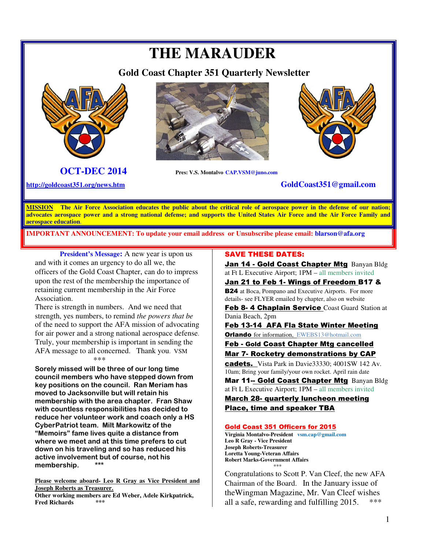# **THE MARAUDER**

 **Gold Coast Chapter 351 Quarterly Newsletter** 





 **OCT-DEC 2014 Pres: V.S. Montalvo CAP.VSM@juno.com** 



## **http://goldcoast351.org/news.htm GoldCoast351@gmail.com**

**MISSION The Air Force Association educates the public about the critical role of aerospace power in the defense of our nation; advocates aerospace power and a strong national defense; and supports the United States Air Force and the Air Force Family and aerospace education**.

**IMPORTANT ANNOUNCEMENT: To update your email address or Unsubscribe please email: blarson@afa.org**

**President's Message:** A new year is upon us and with it comes an urgency to do all we, the officers of the Gold Coast Chapter, can do to impress upon the rest of the membership the importance of retaining current membership in the Air Force Association.

There is strength in numbers. And we need that strength, yes numbers, to remind *the powers that be* of the need to support the AFA mission of advocating for air power and a strong national aerospace defense. Truly, your membership is important in sending the AFA message to all concerned. Thank you. VSM \*\*\*

**Sorely missed will be three of our long time council members who have stepped down from key positions on the council. Ran Meriam has moved to Jacksonville but will retain his membership with the area chapter. Fran Shaw with countless responsibilities has decided to reduce her volunteer work and coach only a HS CyberPatriot team. Milt Markowitz of the "Memoirs" fame lives quite a distance from where we meet and at this time prefers to cut down on his traveling and so has reduced his active involvement but of course, not his**  membership.

**Please welcome aboard- Leo R Gray as Vice President and Joseph Roberts as Treasurer. Other working members are Ed Weber, Adele Kirkpatrick, Fred Richards** 

SAVE THESE DATES:

Jan 14 - Gold Coast Chapter MtgBanyan Bldg at Ft L Executive Airport; 1PM – all members invited

Jan 21 to Feb 1- Wings of Freedom B17 &

**B24** at Boca, Pompano and Executive Airports. For more details- see FLYER emailed by chapter, also on website

Feb 8-4 Chaplain Service Coast Guard Station at Dania Beach, 2pm

Feb 13-14 AFA Fla State Winter Meeting **Orlando** for information, EWEBS13@hotmail.com

Feb - Gold Coast Chapter Mtg cancelled Mar 7- Rocketry demonstrations by CAP

cadets. Vista Park in Davie33330; 4001SW 142 Av. 10am; Bring your family/your own rocket. April rain date

Mar 11-- Gold Coast Chapter MtgBanyan Bldg at Ft L Executive Airport; 1PM – all members invited March 28- quarterly luncheon meeting Place, time and speaker TBA

#### Gold Coast 351 Officers for 2015

**Virginia Montalvo-President vsm.cap@gmail.com Leo R Gray - Vice President Joseph Roberts-Treasurer Loretta Young-Veteran Affairs Robert Marks-Government Affairs**   $***$ 

Congratulations to Scott P. Van Cleef, the new AFA Chairman of the Board. In the January issue of theWingman Magazine, Mr. Van Cleef wishes all a safe, rewarding and fulfilling 2015.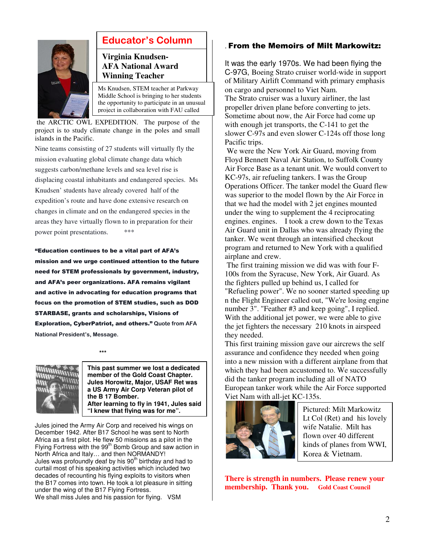

## **Educator's Column**

### **Virginia Knudsen-AFA National Award Winning Teacher**

Ms Knudsen, STEM teacher at Parkway Middle School is bringing to her students the opportunity to participate in an unusual project in collaboration with FAU called

 the ARCTIC OWL EXPEDITION. The purpose of the project is to study climate change in the poles and small islands in the Pacific.

Nine teams consisting of 27 students will virtually fly the mission evaluating global climate change data which suggests carbon/methane levels and sea level rise is displacing coastal inhabitants and endangered species. Ms Knudsen' students have already covered half of the expedition's route and have done extensive research on changes in climate and on the endangered species in the areas they have virtually flown to in preparation for their power point presentations. \*\*\*

"Education continues to be a vital part of AFA's mission and we urge continued attention to the future need for STEM professionals by government, industry, and AFA's peer organizations. AFA remains vigilant and active in advocating for education programs that focus on the promotion of STEM studies, such as DOD STARBASE, grants and scholarships, Visions of Exploration, CyberPatriot, and others." **Quote from AFA National President's, Message.** 



 **\*\*\*** 

**This past summer we lost a dedicated member of the Gold Coast Chapter. Jules Horowitz, Major, USAF Ret was a US Army Air Corp Veteran pilot of the B 17 Bomber. After learning to fly in 1941, Jules said "I knew that flying was for me".**

Jules joined the Army Air Corp and received his wings on December 1942. After B17 School he was sent to North Africa as a first pilot. He flew 50 missions as a pilot in the Flying Fortress with the 99<sup>th</sup> Bomb Group and saw action in North Africa and Italy… and then NORMANDY! Jules was profoundly deaf by his 90<sup>th</sup> birthday and had to curtail most of his speaking activities which included two decades of recounting his flying exploits to visitors when the B17 comes into town. He took a lot pleasure in sitting under the wing of the B17 Flying Fortress. We shall miss Jules and his passion for flying. VSM

### . From the Memoirs of Milt Markowitz:

It was the early 1970s. We had been flying the C-97G, Boeing Strato cruiser world-wide in support of Military Airlift Command with primary emphasis on cargo and personnel to Viet Nam. The Strato cruiser was a luxury airliner, the last propeller driven plane before converting to jets. Sometime about now, the Air Force had come up with enough jet transports, the C-141 to get the slower C-97s and even slower C-124s off those long Pacific trips.

 We were the New York Air Guard, moving from Floyd Bennett Naval Air Station, to Suffolk County Air Force Base as a tenant unit. We would convert to KC-97s, air refueling tankers. I was the Group Operations Officer. The tanker model the Guard flew was superior to the model flown by the Air Force in that we had the model with 2 jet engines mounted under the wing to supplement the 4 reciprocating engines. engines. I took a crew down to the Texas Air Guard unit in Dallas who was already flying the tanker. We went through an intensified checkout program and returned to New York with a qualified airplane and crew.

 The first training mission we did was with four F-100s from the Syracuse, New York, Air Guard. As the fighters pulled up behind us, I called for "Refueling power". We no sooner started speeding up n the Flight Engineer called out, "We're losing engine number 3". "Feather #3 and keep going", I replied. With the additional jet power, we were able to give the jet fighters the necessary 210 knots in airspeed they needed.

This first training mission gave our aircrews the self assurance and confidence they needed when going into a new mission with a different airplane from that which they had been accustomed to. We successfully did the tanker program including all of NATO European tanker work while the Air Force supported Viet Nam with all-jet KC-135s.



Pictured: Milt Markowitz Lt Col (Ret) and his lovely wife Natalie. Milt has flown over 40 different kinds of planes from WWI, Korea & Vietnam.

**There is strength in numbers. Please renew your membership. Thank you. Gold Coast Council**